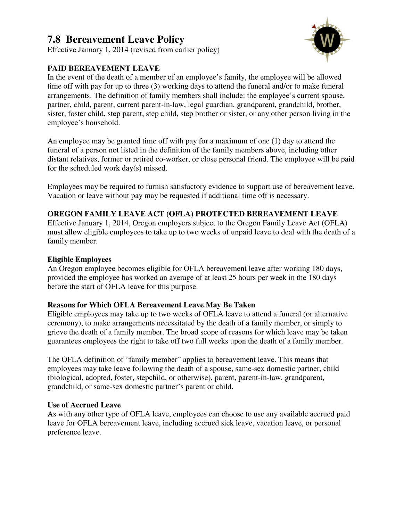# **7.8 Bereavement Leave Policy**

Effective January 1, 2014 (revised from earlier policy)

## **PAID BEREAVEMENT LEAVE**

In the event of the death of a member of an employee's family, the employee will be allowed time off with pay for up to three (3) working days to attend the funeral and/or to make funeral arrangements. The definition of family members shall include: the employee's current spouse, partner, child, parent, current parent-in-law, legal guardian, grandparent, grandchild, brother, sister, foster child, step parent, step child, step brother or sister, or any other person living in the employee's household.

An employee may be granted time off with pay for a maximum of one (1) day to attend the funeral of a person not listed in the definition of the family members above, including other distant relatives, former or retired co-worker, or close personal friend. The employee will be paid for the scheduled work day(s) missed.

Employees may be required to furnish satisfactory evidence to support use of bereavement leave. Vacation or leave without pay may be requested if additional time off is necessary.

## **OREGON FAMILY LEAVE ACT (OFLA) PROTECTED BEREAVEMENT LEAVE**

Effective January 1, 2014, Oregon employers subject to the Oregon Family Leave Act (OFLA) must allow eligible employees to take up to two weeks of unpaid leave to deal with the death of a family member.

### **Eligible Employees**

An Oregon employee becomes eligible for OFLA bereavement leave after working 180 days, provided the employee has worked an average of at least 25 hours per week in the 180 days before the start of OFLA leave for this purpose.

### **Reasons for Which OFLA Bereavement Leave May Be Taken**

Eligible employees may take up to two weeks of OFLA leave to attend a funeral (or alternative ceremony), to make arrangements necessitated by the death of a family member, or simply to grieve the death of a family member. The broad scope of reasons for which leave may be taken guarantees employees the right to take off two full weeks upon the death of a family member.

The OFLA definition of "family member" applies to bereavement leave. This means that employees may take leave following the death of a spouse, same-sex domestic partner, child (biological, adopted, foster, stepchild, or otherwise), parent, parent-in-law, grandparent, grandchild, or same-sex domestic partner's parent or child.

### **Use of Accrued Leave**

As with any other type of OFLA leave, employees can choose to use any available accrued paid leave for OFLA bereavement leave, including accrued sick leave, vacation leave, or personal preference leave.